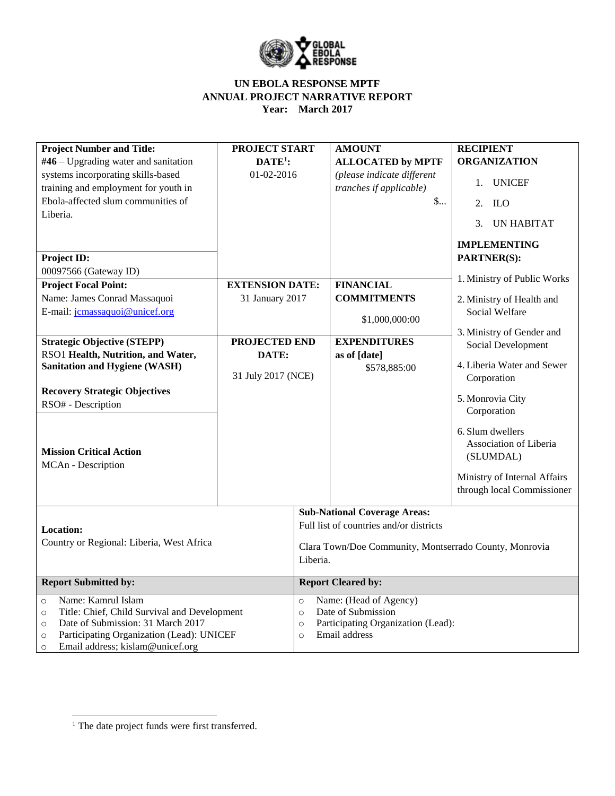

| <b>Project Number and Title:</b>                                                                        | PROJECT START          |                                                                    | <b>AMOUNT</b>                                          | <b>RECIPIENT</b>                           |  |
|---------------------------------------------------------------------------------------------------------|------------------------|--------------------------------------------------------------------|--------------------------------------------------------|--------------------------------------------|--|
| $#46 - Upgrading$ water and sanitation                                                                  | $DATE1$ :              |                                                                    | <b>ALLOCATED by MPTF</b>                               | <b>ORGANIZATION</b>                        |  |
| systems incorporating skills-based                                                                      | 01-02-2016             |                                                                    | (please indicate different                             |                                            |  |
| training and employment for youth in                                                                    |                        |                                                                    | tranches if applicable)                                | <b>UNICEF</b><br>1.                        |  |
| Ebola-affected slum communities of                                                                      |                        |                                                                    | $\mathsf{S}$                                           | 2. ILO                                     |  |
| Liberia.                                                                                                |                        |                                                                    |                                                        |                                            |  |
|                                                                                                         |                        |                                                                    |                                                        | UN HABITAT<br>3.                           |  |
|                                                                                                         |                        |                                                                    |                                                        | <b>IMPLEMENTING</b>                        |  |
| Project ID:                                                                                             |                        |                                                                    |                                                        | PARTNER(S):                                |  |
| 00097566 (Gateway ID)                                                                                   |                        |                                                                    |                                                        |                                            |  |
| <b>Project Focal Point:</b>                                                                             | <b>EXTENSION DATE:</b> |                                                                    | <b>FINANCIAL</b>                                       | 1. Ministry of Public Works                |  |
| Name: James Conrad Massaquoi                                                                            | 31 January 2017        |                                                                    | <b>COMMITMENTS</b>                                     | 2. Ministry of Health and                  |  |
| E-mail: jcmassaquoi@unicef.org                                                                          |                        |                                                                    | \$1,000,000:00                                         | Social Welfare                             |  |
|                                                                                                         |                        |                                                                    |                                                        | 3. Ministry of Gender and                  |  |
| <b>Strategic Objective (STEPP)</b>                                                                      | PROJECTED END          |                                                                    | <b>EXPENDITURES</b>                                    | Social Development                         |  |
| RSO1 Health, Nutrition, and Water,                                                                      | DATE:                  |                                                                    | as of [date]                                           |                                            |  |
| <b>Sanitation and Hygiene (WASH)</b>                                                                    |                        |                                                                    | \$578,885:00                                           | 4. Liberia Water and Sewer                 |  |
|                                                                                                         | 31 July 2017 (NCE)     |                                                                    |                                                        | Corporation                                |  |
| <b>Recovery Strategic Objectives</b>                                                                    |                        |                                                                    |                                                        | 5. Monrovia City                           |  |
| RSO# - Description                                                                                      |                        |                                                                    |                                                        | Corporation                                |  |
|                                                                                                         |                        |                                                                    |                                                        |                                            |  |
|                                                                                                         |                        |                                                                    |                                                        | 6. Slum dwellers<br>Association of Liberia |  |
| <b>Mission Critical Action</b>                                                                          |                        |                                                                    |                                                        | (SLUMDAL)                                  |  |
| MCAn - Description                                                                                      |                        |                                                                    |                                                        |                                            |  |
|                                                                                                         |                        |                                                                    |                                                        | Ministry of Internal Affairs               |  |
|                                                                                                         |                        |                                                                    |                                                        | through local Commissioner                 |  |
|                                                                                                         |                        |                                                                    | <b>Sub-National Coverage Areas:</b>                    |                                            |  |
|                                                                                                         |                        |                                                                    | Full list of countries and/or districts                |                                            |  |
| Location:                                                                                               |                        |                                                                    |                                                        |                                            |  |
| Country or Regional: Liberia, West Africa                                                               |                        |                                                                    | Clara Town/Doe Community, Montserrado County, Monrovia |                                            |  |
|                                                                                                         |                        | Liberia.                                                           |                                                        |                                            |  |
| <b>Report Submitted by:</b>                                                                             |                        | <b>Report Cleared by:</b>                                          |                                                        |                                            |  |
|                                                                                                         |                        |                                                                    |                                                        |                                            |  |
| Name: Kamrul Islam<br>$\circ$                                                                           |                        | Name: (Head of Agency)<br>$\circ$<br>Date of Submission<br>$\circ$ |                                                        |                                            |  |
| Title: Chief, Child Survival and Development<br>$\circ$<br>Date of Submission: 31 March 2017<br>$\circ$ |                        | Participating Organization (Lead):<br>$\circ$                      |                                                        |                                            |  |
| Participating Organization (Lead): UNICEF<br>$\circ$                                                    |                        | $\circ$                                                            | Email address                                          |                                            |  |
| Email address; kislam@unicef.org<br>$\circ$                                                             |                        |                                                                    |                                                        |                                            |  |

 $\overline{\phantom{a}}$ 

<sup>&</sup>lt;sup>1</sup> The date project funds were first transferred.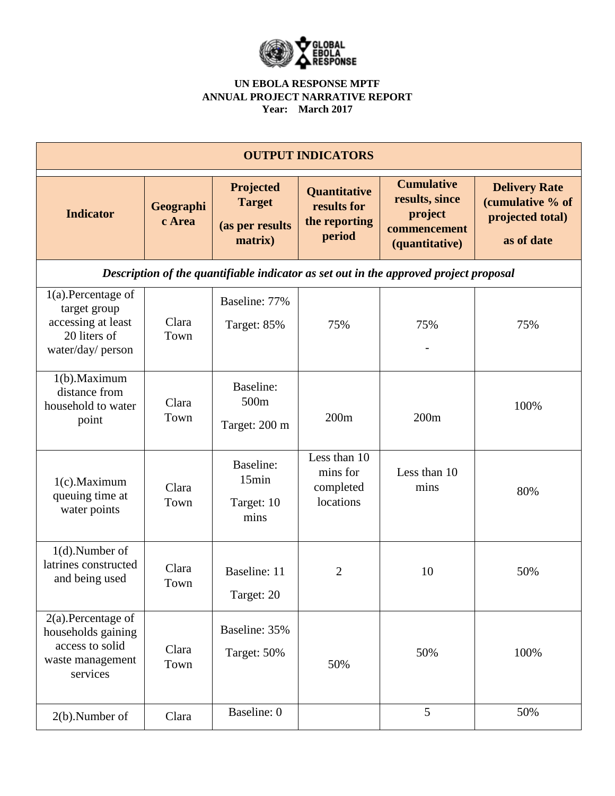

| <b>OUTPUT INDICATORS</b>                                                                          |                     |                                                          |                                                               |                                                                                       |                                                                            |
|---------------------------------------------------------------------------------------------------|---------------------|----------------------------------------------------------|---------------------------------------------------------------|---------------------------------------------------------------------------------------|----------------------------------------------------------------------------|
| <b>Indicator</b>                                                                                  | Geographi<br>c Area | Projected<br><b>Target</b><br>(as per results<br>matrix) | <b>Quantitative</b><br>results for<br>the reporting<br>period | <b>Cumulative</b><br>results, since<br>project<br>commencement<br>(quantitative)      | <b>Delivery Rate</b><br>(cumulative % of<br>projected total)<br>as of date |
|                                                                                                   |                     |                                                          |                                                               | Description of the quantifiable indicator as set out in the approved project proposal |                                                                            |
| $1(a)$ . Percentage of<br>target group<br>accessing at least<br>20 liters of<br>water/day/ person | Clara<br>Town       | Baseline: 77%<br>Target: 85%                             | 75%                                                           | 75%                                                                                   | 75%                                                                        |
| $1(b)$ . Maximum<br>distance from<br>household to water<br>point                                  | Clara<br>Town       | Baseline:<br>500m<br>Target: 200 m                       | 200m                                                          | 200m                                                                                  | 100%                                                                       |
| $1(c)$ . Maximum<br>queuing time at<br>water points                                               | Clara<br>Town       | <b>Baseline:</b><br>15min<br>Target: 10<br>mins          | Less than 10<br>mins for<br>completed<br>locations            | Less than 10<br>mins                                                                  | 80%                                                                        |
| $1(d)$ . Number of<br>latrines constructed<br>and being used                                      | Clara<br>Town       | Baseline: 11<br>Target: 20                               | $\overline{2}$                                                | 10                                                                                    | 50%                                                                        |
| $2(a)$ . Percentage of<br>households gaining<br>access to solid<br>waste management<br>services   | Clara<br>Town       | Baseline: 35%<br>Target: 50%                             | 50%                                                           | 50%                                                                                   | 100%                                                                       |
| $2(b)$ . Number of                                                                                | Clara               | Baseline: 0                                              |                                                               | 5                                                                                     | 50%                                                                        |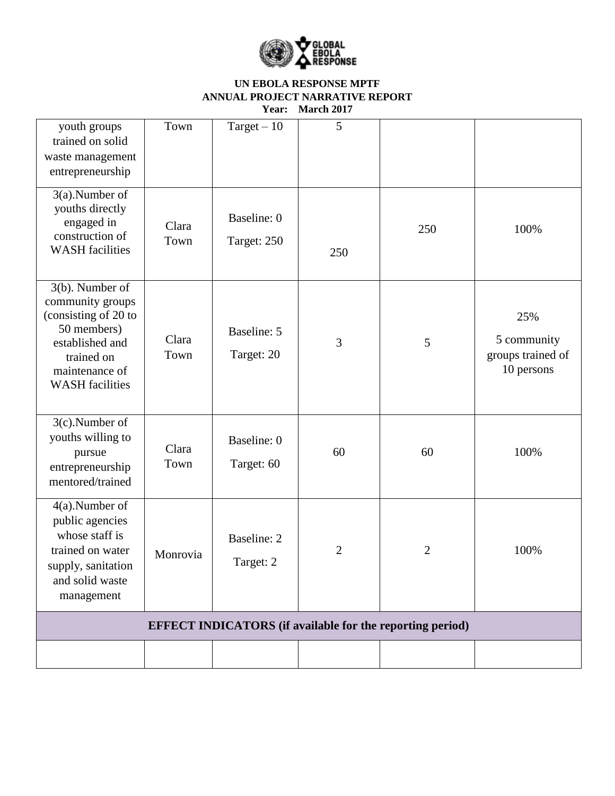

| youth groups<br>trained on solid<br>waste management<br>entrepreneurship                                                                                | Town          | Target $-10$               | 5              |                                                                  |                                                       |
|---------------------------------------------------------------------------------------------------------------------------------------------------------|---------------|----------------------------|----------------|------------------------------------------------------------------|-------------------------------------------------------|
| 3(a).Number of<br>youths directly<br>engaged in<br>construction of<br><b>WASH</b> facilities                                                            | Clara<br>Town | Baseline: 0<br>Target: 250 | 250            | 250                                                              | 100%                                                  |
| 3(b). Number of<br>community groups<br>(consisting of 20 to<br>50 members)<br>established and<br>trained on<br>maintenance of<br><b>WASH</b> facilities | Clara<br>Town | Baseline: 5<br>Target: 20  | 3              | 5                                                                | 25%<br>5 community<br>groups trained of<br>10 persons |
| 3(c).Number of<br>youths willing to<br>pursue<br>entrepreneurship<br>mentored/trained                                                                   | Clara<br>Town | Baseline: 0<br>Target: 60  | 60             | 60                                                               | 100%                                                  |
| $4(a)$ . Number of<br>public agencies<br>whose staff is<br>trained on water<br>supply, sanitation<br>and solid waste<br>management                      | Monrovia      | Baseline: 2<br>Target: 2   | $\overline{2}$ | $\overline{2}$                                                   | 100%                                                  |
|                                                                                                                                                         |               |                            |                | <b>EFFECT INDICATORS</b> (if available for the reporting period) |                                                       |
|                                                                                                                                                         |               |                            |                |                                                                  |                                                       |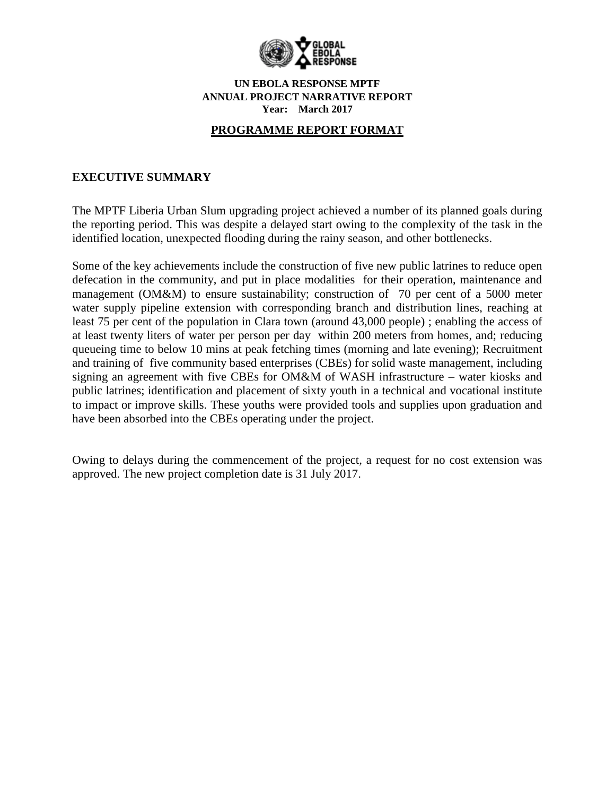

### **PROGRAMME REPORT FORMAT**

### **EXECUTIVE SUMMARY**

The MPTF Liberia Urban Slum upgrading project achieved a number of its planned goals during the reporting period. This was despite a delayed start owing to the complexity of the task in the identified location, unexpected flooding during the rainy season, and other bottlenecks.

Some of the key achievements include the construction of five new public latrines to reduce open defecation in the community, and put in place modalities for their operation, maintenance and management (OM&M) to ensure sustainability; construction of 70 per cent of a 5000 meter water supply pipeline extension with corresponding branch and distribution lines, reaching at least 75 per cent of the population in Clara town (around 43,000 people) ; enabling the access of at least twenty liters of water per person per day within 200 meters from homes, and; reducing queueing time to below 10 mins at peak fetching times (morning and late evening); Recruitment and training of five community based enterprises (CBEs) for solid waste management, including signing an agreement with five CBEs for OM&M of WASH infrastructure – water kiosks and public latrines; identification and placement of sixty youth in a technical and vocational institute to impact or improve skills. These youths were provided tools and supplies upon graduation and have been absorbed into the CBEs operating under the project.

Owing to delays during the commencement of the project, a request for no cost extension was approved. The new project completion date is 31 July 2017.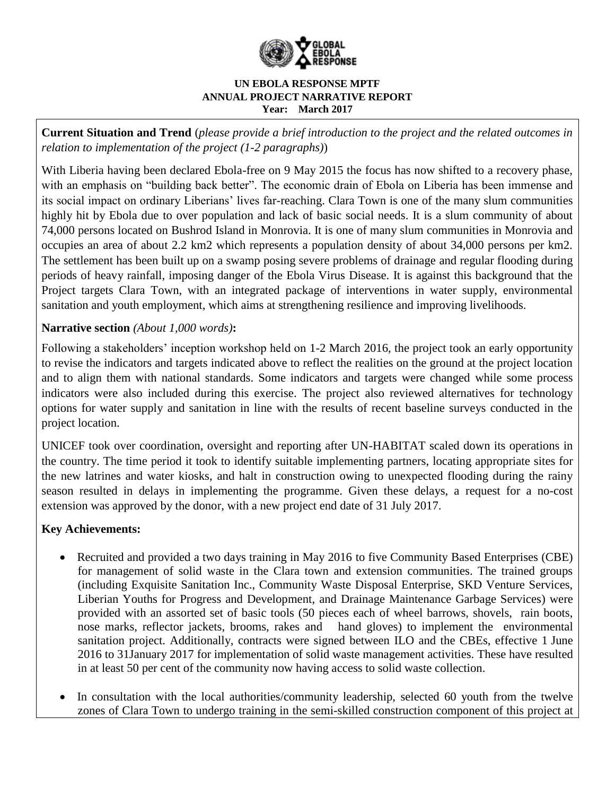

**Current Situation and Trend** (*please provide a brief introduction to the project and the related outcomes in relation to implementation of the project (1-2 paragraphs)*)

With Liberia having been declared Ebola-free on 9 May 2015 the focus has now shifted to a recovery phase, with an emphasis on "building back better". The economic drain of Ebola on Liberia has been immense and its social impact on ordinary Liberians' lives far-reaching. Clara Town is one of the many slum communities highly hit by Ebola due to over population and lack of basic social needs. It is a slum community of about 74,000 persons located on Bushrod Island in Monrovia. It is one of many slum communities in Monrovia and occupies an area of about 2.2 km2 which represents a population density of about 34,000 persons per km2. The settlement has been built up on a swamp posing severe problems of drainage and regular flooding during periods of heavy rainfall, imposing danger of the Ebola Virus Disease. It is against this background that the Project targets Clara Town, with an integrated package of interventions in water supply, environmental sanitation and youth employment, which aims at strengthening resilience and improving livelihoods.

# **Narrative section** *(About 1,000 words)***:**

Following a stakeholders' inception workshop held on 1-2 March 2016, the project took an early opportunity to revise the indicators and targets indicated above to reflect the realities on the ground at the project location and to align them with national standards. Some indicators and targets were changed while some process indicators were also included during this exercise. The project also reviewed alternatives for technology options for water supply and sanitation in line with the results of recent baseline surveys conducted in the project location.

UNICEF took over coordination, oversight and reporting after UN-HABITAT scaled down its operations in the country. The time period it took to identify suitable implementing partners, locating appropriate sites for the new latrines and water kiosks, and halt in construction owing to unexpected flooding during the rainy season resulted in delays in implementing the programme. Given these delays, a request for a no-cost extension was approved by the donor, with a new project end date of 31 July 2017.

## **Key Achievements:**

- Recruited and provided a two days training in May 2016 to five Community Based Enterprises (CBE) for management of solid waste in the Clara town and extension communities. The trained groups (including Exquisite Sanitation Inc., Community Waste Disposal Enterprise, SKD Venture Services, Liberian Youths for Progress and Development, and Drainage Maintenance Garbage Services) were provided with an assorted set of basic tools (50 pieces each of wheel barrows, shovels, rain boots, nose marks, reflector jackets, brooms, rakes and hand gloves) to implement the environmental sanitation project. Additionally, contracts were signed between ILO and the CBEs, effective 1 June 2016 to 31January 2017 for implementation of solid waste management activities. These have resulted in at least 50 per cent of the community now having access to solid waste collection.
- In consultation with the local authorities/community leadership, selected 60 youth from the twelve zones of Clara Town to undergo training in the semi-skilled construction component of this project at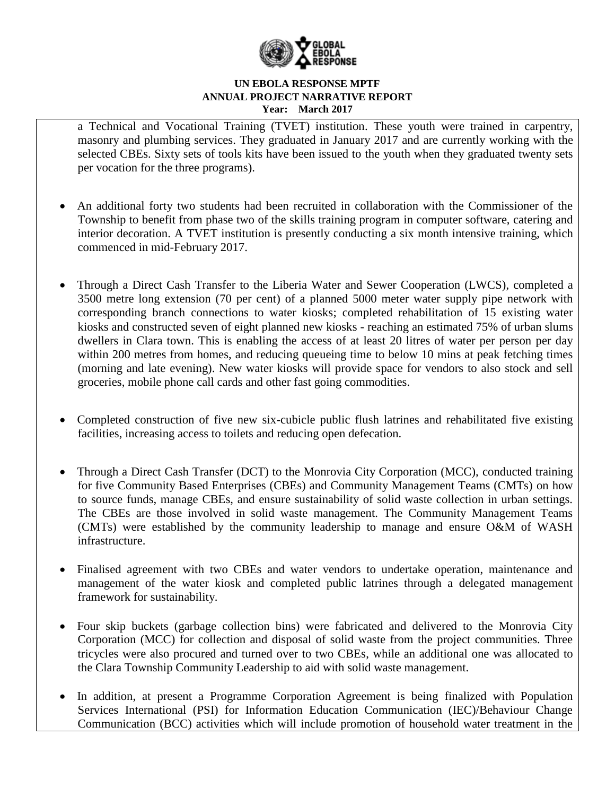

a Technical and Vocational Training (TVET) institution. These youth were trained in carpentry, masonry and plumbing services. They graduated in January 2017 and are currently working with the selected CBEs. Sixty sets of tools kits have been issued to the youth when they graduated twenty sets per vocation for the three programs).

- An additional forty two students had been recruited in collaboration with the Commissioner of the Township to benefit from phase two of the skills training program in computer software, catering and interior decoration. A TVET institution is presently conducting a six month intensive training, which commenced in mid-February 2017.
- Through a Direct Cash Transfer to the Liberia Water and Sewer Cooperation (LWCS), completed a 3500 metre long extension (70 per cent) of a planned 5000 meter water supply pipe network with corresponding branch connections to water kiosks; completed rehabilitation of 15 existing water kiosks and constructed seven of eight planned new kiosks - reaching an estimated 75% of urban slums dwellers in Clara town. This is enabling the access of at least 20 litres of water per person per day within 200 metres from homes, and reducing queueing time to below 10 mins at peak fetching times (morning and late evening). New water kiosks will provide space for vendors to also stock and sell groceries, mobile phone call cards and other fast going commodities.
- Completed construction of five new six-cubicle public flush latrines and rehabilitated five existing facilities, increasing access to toilets and reducing open defecation.
- Through a Direct Cash Transfer (DCT) to the Monrovia City Corporation (MCC), conducted training for five Community Based Enterprises (CBEs) and Community Management Teams (CMTs) on how to source funds, manage CBEs, and ensure sustainability of solid waste collection in urban settings. The CBEs are those involved in solid waste management. The Community Management Teams (CMTs) were established by the community leadership to manage and ensure O&M of WASH infrastructure.
- Finalised agreement with two CBEs and water vendors to undertake operation, maintenance and management of the water kiosk and completed public latrines through a delegated management framework for sustainability.
- Four skip buckets (garbage collection bins) were fabricated and delivered to the Monrovia City Corporation (MCC) for collection and disposal of solid waste from the project communities. Three tricycles were also procured and turned over to two CBEs, while an additional one was allocated to the Clara Township Community Leadership to aid with solid waste management.
- In addition, at present a Programme Corporation Agreement is being finalized with Population Services International (PSI) for Information Education Communication (IEC)/Behaviour Change Communication (BCC) activities which will include promotion of household water treatment in the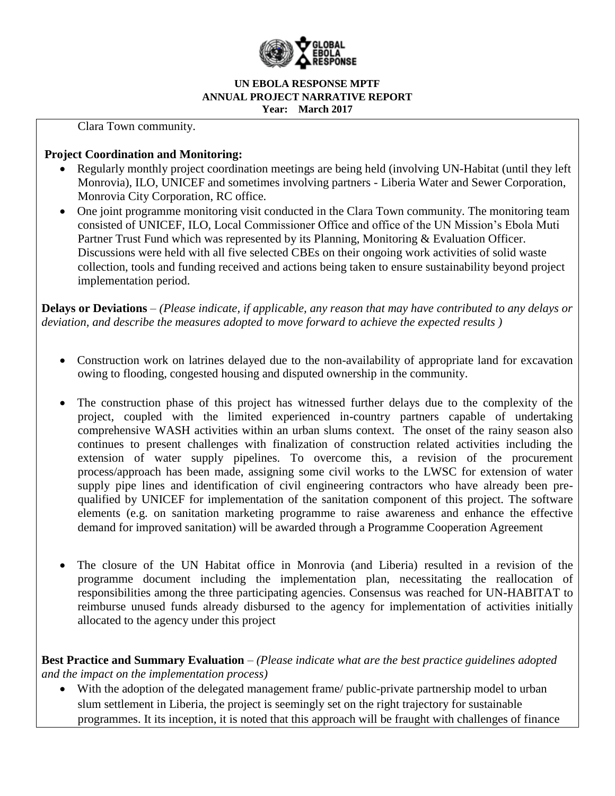

Clara Town community.

## **Project Coordination and Monitoring:**

- Regularly monthly project coordination meetings are being held (involving UN-Habitat (until they left Monrovia), ILO, UNICEF and sometimes involving partners - Liberia Water and Sewer Corporation, Monrovia City Corporation, RC office.
- One joint programme monitoring visit conducted in the Clara Town community. The monitoring team consisted of UNICEF, ILO, Local Commissioner Office and office of the UN Mission's Ebola Muti Partner Trust Fund which was represented by its Planning, Monitoring & Evaluation Officer. Discussions were held with all five selected CBEs on their ongoing work activities of solid waste collection, tools and funding received and actions being taken to ensure sustainability beyond project implementation period.

**Delays or Deviations** *– (Please indicate, if applicable, any reason that may have contributed to any delays or deviation, and describe the measures adopted to move forward to achieve the expected results )*

- Construction work on latrines delayed due to the non-availability of appropriate land for excavation owing to flooding, congested housing and disputed ownership in the community.
- The construction phase of this project has witnessed further delays due to the complexity of the project, coupled with the limited experienced in-country partners capable of undertaking comprehensive WASH activities within an urban slums context. The onset of the rainy season also continues to present challenges with finalization of construction related activities including the extension of water supply pipelines. To overcome this, a revision of the procurement process/approach has been made, assigning some civil works to the LWSC for extension of water supply pipe lines and identification of civil engineering contractors who have already been prequalified by UNICEF for implementation of the sanitation component of this project. The software elements (e.g. on sanitation marketing programme to raise awareness and enhance the effective demand for improved sanitation) will be awarded through a Programme Cooperation Agreement
- The closure of the UN Habitat office in Monrovia (and Liberia) resulted in a revision of the programme document including the implementation plan, necessitating the reallocation of responsibilities among the three participating agencies. Consensus was reached for UN-HABITAT to reimburse unused funds already disbursed to the agency for implementation of activities initially allocated to the agency under this project

**Best Practice and Summary Evaluation** *– (Please indicate what are the best practice guidelines adopted and the impact on the implementation process)*

 With the adoption of the delegated management frame/ public-private partnership model to urban slum settlement in Liberia, the project is seemingly set on the right trajectory for sustainable programmes. It its inception, it is noted that this approach will be fraught with challenges of finance